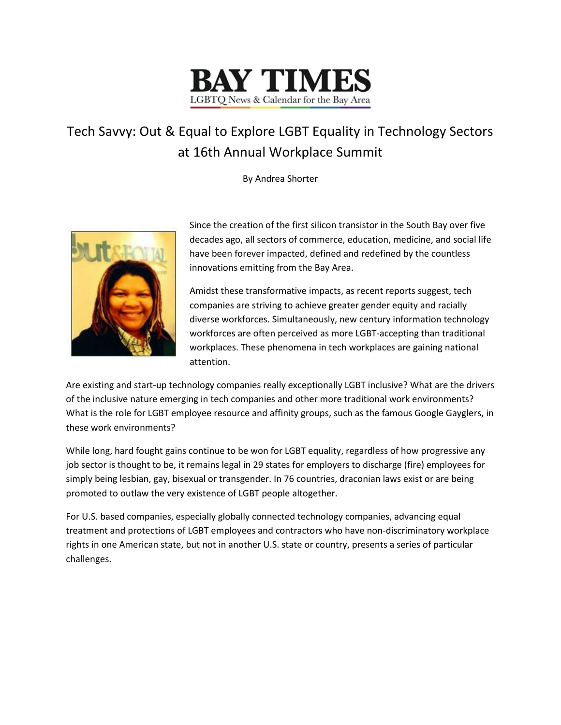

## Tech Savvy: Out & Equal to Explore LGBT Equality in Technology Sectors at 16th Annual Workplace Summit

By Andrea Shorter



Since the creation of the first silicon transistor in the South Bay over five decades ago, all sectors of commerce, education, medicine, and social life have been forever impacted, defined and redefined by the countless innovations emitting from the Bay Area.

Amidst these transformative impacts, as recent reports suggest, tech companies are striving to achieve greater gender equity and racially diverse workforces. Simultaneously, new century information technology workforces are often perceived as more LGBT-accepting than traditional workplaces. These phenomena in tech workplaces are gaining national attention.

Are existing and start-up technology companies really exceptionally LGBT inclusive? What are the drivers of the inclusive nature emerging in tech companies and other more traditional work environments? What is the role for LGBT employee resource and affinity groups, such as the famous Google Gayglers, in these work environments?

While long, hard fought gains continue to be won for LGBT equality, regardless of how progressive any job sector is thought to be, it remains legal in 29 states for employers to discharge (fire) employees for simply being lesbian, gay, bisexual or transgender. In 76 countries, draconian laws exist or are being promoted to outlaw the very existence of LGBT people altogether.

For U.S. based companies, especially globally connected technology companies, advancing equal treatment and protections of LGBT employees and contractors who have non-discriminatory workplace rights in one American state, but not in another U.S. state or country, presents a series of particular challenges.